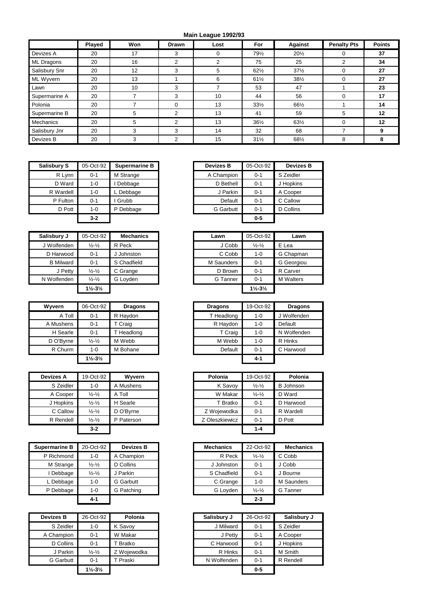## **Main League 1992/93**

|                  | <b>Played</b> | Won | Drawn    | Lost | <b>For</b>      | Against         | <b>Penalty Pts</b> | <b>Points</b> |
|------------------|---------------|-----|----------|------|-----------------|-----------------|--------------------|---------------|
| Devizes A        | 20            | 17  | 3        | 0    | 79½             | $20\frac{1}{2}$ | 0                  | 37            |
| ML Dragons       | 20            | 16  | 2        | 2    | 75              | 25              | 2                  | 34            |
| Salisbury Snr    | 20            | 12  | 3        | 5    | $62\frac{1}{2}$ | $37\frac{1}{2}$ | $\Omega$           | 27            |
| ML Wyvern        | 20            | 13  |          | 6    | $61\frac{1}{2}$ | $38\frac{1}{2}$ | $\Omega$           | 27            |
| Lawn             | 20            | 10  | 3        |      | 53              | 47              |                    | 23            |
| Supermarine A    | 20            |     | 3        | 10   | 44              | 56              | $\Omega$           | 17            |
| Polonia          | 20            |     | $\Omega$ | 13   | $33\frac{1}{2}$ | 661/2           |                    | 14            |
| Supermarine B    | 20            | 5   | 2        | 13   | 41              | 59              | 5                  | 12            |
| <b>Mechanics</b> | 20            | 5   | 2        | 13   | $36\frac{1}{2}$ | 63½             | $\Omega$           | 12            |
| Salisbury Jnr    | 20            | 3   | 3        | 14   | 32              | 68              | ⇁                  | 9             |
| Devizes B        | 20            | 3   | 2        | 15   | $31\frac{1}{2}$ | 681/2           | 8                  | 8             |

| <b>Salisbury S</b> | 05-Oct-92 | <b>Supermarine B</b> | <b>Devizes B</b> | 05-Oct-92 | <b>Devizes B</b> |
|--------------------|-----------|----------------------|------------------|-----------|------------------|
| R Lynn             | $0 - 1$   | M Strange            | A Champion       | $0 - 1$   | S Zeidler        |
| D Ward             | 1-0       | I Debbage            | D Bethell        | $0 - 1$   | J Hopkins        |
| R Wardell          | 1-0       | L Debbage            | J Parkin         | $0 - 1$   | A Cooper         |
| P Fulton           | $0 - 1$   | I Grubb              | Default          | $0 - 1$   | C Callow         |
| D Pott             | $1 - 0$   | P Debbage            | <b>G</b> Garbutt | $0 - 1$   | D Collins        |
|                    | $3 - 2$   |                      |                  | $0 - 5$   |                  |

| Salisbury J      | 05-Oct-92                     | <b>Mechanics</b> | Lawn       | 05-Oct-92                     | Lawn              |
|------------------|-------------------------------|------------------|------------|-------------------------------|-------------------|
| J Wolfenden      | $\frac{1}{2} - \frac{1}{2}$   | R Peck           | J Cobb     | $\frac{1}{2} - \frac{1}{2}$   | E Lea             |
| D Harwood        | $0 - 1$                       | J Johnston       | C Cobb     | $1 - 0$                       | G Chapmar         |
| <b>B</b> Milward | $0 - 1$                       | S Chadfield      | M Saunders | $0 - 1$                       | <b>G</b> Georgiou |
| J Petty          | $\frac{1}{2} - \frac{1}{2}$   | C Grange         | D Brown    | $0 - 1$                       | R Carver          |
| N Wolfenden      | $\frac{1}{2} - \frac{1}{2}$   | G Loyden         | G Tanner   | $0 - 1$                       | <b>M</b> Walters  |
|                  | $1\frac{1}{2} - 3\frac{1}{2}$ |                  |            | $1\frac{1}{2} - 3\frac{1}{2}$ |                   |

| Wyvern    | 06-Oct-92                     | <b>Dragons</b> | <b>Dragons</b> | 19-Oct-92 | Dra     |
|-----------|-------------------------------|----------------|----------------|-----------|---------|
| A Toll    | $0 - 1$                       | R Haydon       | T Headlong     | $1 - 0$   | J Wolfe |
| A Mushens | $0 - 1$                       | T Craig        | R Haydon       | 1-0       | Default |
| H Searle  | $0 - 1$                       | T Headlong     | T Craig        | $1 - 0$   | N Wolfe |
| D O'Byrne | $\frac{1}{2} - \frac{1}{2}$   | M Webb         | M Webb         | $1 - 0$   | R Hinks |
| R Churm   | $1 - 0$                       | M Bohane       | Default        | $0 - 1$   | C Harw  |
|           | $1\frac{1}{2} - 3\frac{1}{2}$ |                |                | $4 - 1$   |         |

| <b>Devizes A</b> | 19-Oct-92                   | <b>Wyvern</b> | Polonia        | 19-Oct-92                   | Polonia          |
|------------------|-----------------------------|---------------|----------------|-----------------------------|------------------|
| S Zeidler        | 1-0                         | A Mushens     | K Savoy        | $\frac{1}{2} - \frac{1}{2}$ | <b>B</b> Johnson |
| A Cooper         | $\frac{1}{2} - \frac{1}{2}$ | A Toll        | W Makar        | $\frac{1}{2} - \frac{1}{2}$ | D Ward           |
| J Hopkins        | $\frac{1}{2} - \frac{1}{2}$ | H Searle      | T Bratko       | $0 - 1$                     | D Harwood        |
| C Callow         | $\frac{1}{2} - \frac{1}{2}$ | D O'Byrne     | Z Wojewodka    | $0 - 1$                     | R Wardell        |
| R Rendell        | $\frac{1}{2} - \frac{1}{2}$ | P Paterson    | Z Oleszkiewicz | $0 - 1$                     | D Pott           |
|                  | $3-2$                       |               |                | $1 - 4$                     |                  |

| <b>Supermarine B</b> | 20-Oct-92                   | <b>Devizes B</b> |
|----------------------|-----------------------------|------------------|
| P Richmond           | 1-0                         | A Champion       |
| M Strange            | $\frac{1}{2} - \frac{1}{2}$ | D Collins        |
| Debbage              | $\frac{1}{2} - \frac{1}{2}$ | J Parkin         |
| L Debbage            | 1-0                         | G Garbutt        |
| P Debbage            | 1-0                         | G Patching       |
|                      | $4 - 1$                     |                  |

| Devizes B        | 26-Oct-92                     | Polonia     | Salisbury J | 26-Oct-92 | Salisbu   |
|------------------|-------------------------------|-------------|-------------|-----------|-----------|
| S Zeidler        | $1 - 0$                       | K Savoy     | J Milward   | $0 - 1$   | S Zeidler |
| A Champion       | $0 - 1$                       | W Makar     | J Petty     | $0 - 1$   | A Cooper  |
| D Collins        | $0 - 1$                       | Bratko      | C Harwood   | $0 - 1$   | J Hopkins |
| J Parkin         | $\frac{1}{2} - \frac{1}{2}$   | Z Wojewodka | R Hinks     | $0 - 1$   | M Smith   |
| <b>G</b> Garbutt | $0 - 1$                       | T Praski    | N Wolfenden | $0 - 1$   | R Rendell |
|                  | $1\frac{1}{2} - 3\frac{1}{2}$ |             |             | $0 - 5$   |           |

| urv S    | 05-Oct-92 | Supermarine B | <b>Devizes B</b> | 05-Oct-92 | <b>Devizes B</b> |
|----------|-----------|---------------|------------------|-----------|------------------|
| R Lynn   | $0 - 1$   | M Strange     | A Champion       | $0 - 1$   | S Zeidler        |
| D Ward   | $1 - 0$   | Debbage       | D Bethell        | $0 - 1$   | J Hopkins        |
| Wardell  | $1 - 0$   | ∟ Debbage     | J Parkin         | $0 - 1$   | A Cooper         |
| P Fulton | $0 - 1$   | Grubb         | Default          | $0 - 1$   | C Callow         |
| D Pott   | $1 - 0$   | P Debbage     | <b>G</b> Garbutt | $0 - 1$   | D Collins        |
|          | $3-2$     |               |                  | $0 - 5$   |                  |
|          |           |               |                  |           |                  |

| lisbury J        | 05-Oct-92                     | <b>Mechanics</b> | Lawn       | 05-Oct-92                     | Lawn             |
|------------------|-------------------------------|------------------|------------|-------------------------------|------------------|
| Wolfenden        | $\frac{1}{2} - \frac{1}{2}$   | R Peck           | J Cobb     | $\frac{1}{2} - \frac{1}{2}$   | E Lea            |
| D Harwood        | $0 - 1$                       | Johnston         | C Cobb     | $1 - 0$                       | G Chapman        |
| <b>B</b> Milward | $0 - 1$                       | S Chadfield      | M Saunders | $0 - 1$                       | G Georgiou       |
| J Petty          | $\frac{1}{2} - \frac{1}{2}$   | C Grange         | D Brown    | $0 - 1$                       | R Carver         |
| Wolfenden        | $\frac{1}{2} - \frac{1}{2}$   | G Loyden         | G Tanner   | $0 - 1$                       | <b>M</b> Walters |
|                  | $1\frac{1}{2} - 3\frac{1}{2}$ |                  |            | $1\frac{1}{2} - 3\frac{1}{2}$ |                  |

| Wvvern    | 06-Oct-92                     | <b>Dragons</b> | <b>Dragons</b> | 19-Oct-92 | <b>Dragons</b> |
|-----------|-------------------------------|----------------|----------------|-----------|----------------|
| A Toll    | $0 - 1$                       | R Haydon       | T Headlong     | $1 - 0$   | J Wolfenden    |
| A Mushens | $0 - 1$                       | T Craig        | R Haydon       | $1 - 0$   | Default        |
| H Searle  | $0 - 1$                       | T Headlong     | T Craig        | $1 - 0$   | N Wolfenden    |
| D O'Byrne | $\frac{1}{2} - \frac{1}{2}$   | M Webb         | M Webb         | $1 - 0$   | R Hinks        |
| R Churm   | 1-0                           | M Bohane       | Default        | $0 - 1$   | C Harwood      |
|           | $1\frac{1}{2} - 3\frac{1}{2}$ |                |                | $4 - 1$   |                |

| <i>r</i> izes A | 19-Oct-92                   | Wyvern     | Polonia        | 19-Oct-92                   | Polonia          |
|-----------------|-----------------------------|------------|----------------|-----------------------------|------------------|
| S Zeidler       | $1 - 0$                     | A Mushens  | K Savoy        | $\frac{1}{2} - \frac{1}{2}$ | <b>B</b> Johnson |
| A Cooper        | $\frac{1}{2} - \frac{1}{2}$ | A Toll     | W Makar        | $\frac{1}{2} - \frac{1}{2}$ | D Ward           |
| J Hopkins       | $\frac{1}{2} - \frac{1}{2}$ | H Searle   | T Bratko       | $0 - 1$                     | D Harwood        |
| C Callow        | $\frac{1}{2} - \frac{1}{2}$ | D O'Byrne  | Z Wojewodka    | $0 - 1$                     | R Wardell        |
| R Rendell       | $\frac{1}{2} - \frac{1}{2}$ | P Paterson | Z Oleszkiewicz | $0 - 1$                     | D Pott           |
|                 | $3 - 2$                     |            |                | $1 - 4$                     |                  |

| rmarine B | 20-Oct-92                   | <b>Devizes B</b> | <b>Mechanics</b> | 22-Oct-92                   | <b>Mechanics</b> |
|-----------|-----------------------------|------------------|------------------|-----------------------------|------------------|
| Richmond  | 1-0                         | A Champion       | R Peck           | $\frac{1}{2} - \frac{1}{2}$ | C Cobb           |
| M Strange | $\frac{1}{2} - \frac{1}{2}$ | D Collins        | J Johnston       | $0 - 1$                     | J Cobb           |
| I Debbage | $\frac{1}{2} - \frac{1}{2}$ | J Parkin         | S Chadfield      | $0 - 1$                     | J Bourne         |
| L Debbage | $1 - 0$                     | G Garbutt        | C Grange         | $1 - 0$                     | M Saunders       |
| P Debbage | $1 - 0$                     | G Patching       | G Loyden         | $\frac{1}{2} - \frac{1}{2}$ | G Tanner         |
|           | $4 - 1$                     |                  |                  | $2 - 3$                     |                  |

| Devizes B  | 26-Oct-92                     | Polonia     | Salisbury J | 26-Oct-92 | Salisbury J |
|------------|-------------------------------|-------------|-------------|-----------|-------------|
| S Zeidler  | $1 - 0$                       | K Savoy     | J Milward   | $0 - 1$   | S Zeidler   |
| A Champion | $0 - 1$                       | W Makar     | J Petty     | $0 - 1$   | A Cooper    |
| D Collins  | $0 - 1$                       | Bratko      | C Harwood   | $0 - 1$   | J Hopkins   |
| J Parkin   | $\frac{1}{2} - \frac{1}{2}$   | Z Wojewodka | R Hinks     | $0 - 1$   | M Smith     |
| G Garbutt  | $0 - 1$                       | T Praski    | N Wolfenden | $0 - 1$   | R Rendell   |
|            | $1\frac{1}{2} - 3\frac{1}{2}$ |             |             | $0-5$     |             |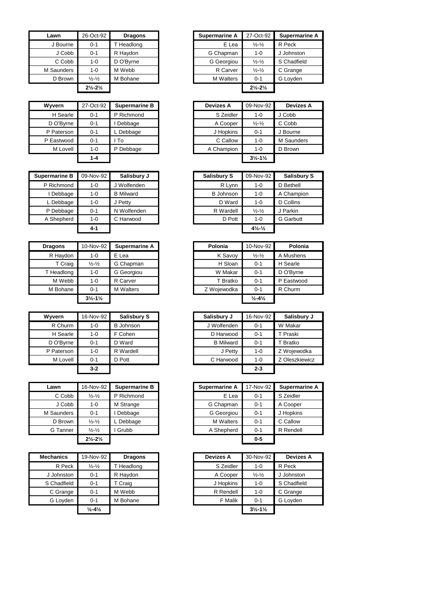| Lawn       | 26-Oct-92                     | <b>Dragons</b> | <b>Supermarine A</b> | 27-Oct-92                     | Superma   |
|------------|-------------------------------|----------------|----------------------|-------------------------------|-----------|
| J Bourne   | $0 - 1$                       | T Headlong     | E Lea                | $\frac{1}{2} - \frac{1}{2}$   | R Peck    |
| J Cobb     | $0 - 1$                       | R Haydon       | G Chapman            | 1-0                           | J Johnsto |
| C Cobb     | $1 - 0$                       | D O'Bvrne      | G Georgiou           | $\frac{1}{2} - \frac{1}{2}$   | S Chadfie |
| M Saunders | $1 - 0$                       | M Webb         | R Carver             | $\frac{1}{2} - \frac{1}{2}$   | C Grange  |
| D Brown    | $\frac{1}{2} - \frac{1}{2}$   | M Bohane       | <b>M</b> Walters     | $0 - 1$                       | G Loyden  |
|            | $2\frac{1}{2} - 2\frac{1}{2}$ |                |                      | $2\frac{1}{2} - 2\frac{1}{2}$ |           |

| <b>Wyvern</b> | 27-Oct-92 | <b>Supermarine B</b> |  | <b>Devizes A</b> | 09-Nov-92                     | Deviz    |
|---------------|-----------|----------------------|--|------------------|-------------------------------|----------|
| H Searle      | $0 - 1$   | P Richmond           |  |                  | $1 - 0$                       | J Cobb   |
| D O'Byrne     | $0 - 1$   | Debbage              |  | A Cooper         | $\frac{1}{2} - \frac{1}{2}$   | C Cobb   |
| P Paterson    | $0 - 1$   | Debbage              |  | J Hopkins        | $0 - 1$                       | J Bourne |
| P Eastwood    | $0 - 1$   | To                   |  | C Callow         | $1 - 0$                       | M Saund  |
| M Lovell      | $1 - 0$   | P Debbage            |  | A Champion       | 1-0                           | D Brown  |
|               | $1 - 4$   |                      |  |                  | $3\frac{1}{2} - 1\frac{1}{2}$ |          |

| Supermarine B | 09-Nov-92 | Salisbury J      | <b>Salisbury S</b> | 09-Nov-92                    |
|---------------|-----------|------------------|--------------------|------------------------------|
| P Richmond    | 1-0       | J Wolfenden      | R Lynn             | 1-0                          |
| Debbage       | 1-0       | <b>B</b> Milward | <b>B</b> Johnson   | 1-0                          |
| ∟ Debbage     | 1-0       | J Petty          | D Ward             | $1 - 0$                      |
| P Debbage     | $0 - 1$   | N Wolfenden      | R Wardell          | $\frac{1}{2} - \frac{1}{2}$  |
| A Shepherd    | $1-0$     | C Harwood        | D Pott             | $1 - 0$                      |
|               | $4 - 1$   |                  |                    | $4\frac{1}{2}$ $\frac{1}{2}$ |

| <b>Dragons</b> | 10-Nov-92                     | Supermarine A    | Polonia     | 10-Nov-92                    | Polonia    |
|----------------|-------------------------------|------------------|-------------|------------------------------|------------|
| R Haydon       | 1-0                           | E Lea            | K Savoy     | $\frac{1}{2} - \frac{1}{2}$  | A Mushens  |
| T Craig        | $\frac{1}{2} - \frac{1}{2}$   | G Chapman        | H Sloan     | $0 - 1$                      | H Searle   |
| T Headlong     | 1-0                           | G Georgiou       | W Makar     | $0 - 1$                      | D O'Bvrne  |
| M Webb         | 1-0                           | R Carver         | T Bratko    | $0 - 1$                      | P Eastwood |
| M Bohane       | $0 - 1$                       | <b>M</b> Walters | Z Wojewodka | $0 - 1$                      | R Churm    |
|                | $3\frac{1}{2} - 1\frac{1}{2}$ |                  |             | $\frac{1}{2} - 4\frac{1}{2}$ |            |

| Wyvern     | 16-Nov-92 | Salisbury S      |  |                  | 16-Nov-92 | <b>Salisb</b> |
|------------|-----------|------------------|--|------------------|-----------|---------------|
| R Churm    | 1-0       | <b>B</b> Johnson |  |                  | $0 - 1$   | W Makar       |
| H Searle   | $1 - 0$   | F Cohen          |  | D Harwood        | $0 - 1$   | T Praski      |
| D O'Byrne  | $0 - 1$   | D Ward           |  | <b>B</b> Milward | $0 - 1$   | T Bratko      |
| P Paterson | 1-0       | R Wardell        |  | J Petty          | $1 - 0$   | Z Wojew       |
| M Lovell   | $0 - 1$   | D Pott           |  | C Harwood        | 1-0       | Z Oleszk      |
|            | $3-2$     |                  |  |                  | $2 - 3$   |               |

| Lawn       | 16-Nov-92                     | <b>Supermarine B</b> |  | <b>Supermarine A</b> | 17-Nov-92 | Superma   |
|------------|-------------------------------|----------------------|--|----------------------|-----------|-----------|
| C Cobb     | $\frac{1}{2} - \frac{1}{2}$   | P Richmond           |  | E Lea                | $0 - 1$   | S Zeidler |
| J Cobb     | $1 - 0$                       | M Strange            |  | G Chapman            | $0 - 1$   | A Cooper  |
| M Saunders | $0 - 1$                       | Debbage              |  | G Georgiou           | $0 - 1$   | J Hopkins |
| D Brown    | $\frac{1}{2} - \frac{1}{2}$   | Debbage              |  | <b>M</b> Walters     | $0 - 1$   | C Callow  |
| G Tanner   | $\frac{1}{2} - \frac{1}{2}$   | I Grubb              |  | A Shepherd           | $0 - 1$   | R Rendell |
|            | $2\frac{1}{2} - 2\frac{1}{2}$ |                      |  |                      | $0 - 5$   |           |

| <b>Mechanics</b> | 19-Nov-92                    | <b>Dragons</b> | <b>Devizes A</b> | 30-Nov-92                     | <b>Devizes A</b> |
|------------------|------------------------------|----------------|------------------|-------------------------------|------------------|
| R Peck           | $\frac{1}{2} - \frac{1}{2}$  | T Headlong     | S Zeidler        | $1 - 0$                       | R Peck           |
| J Johnston       | $0 - 1$                      | R Haydon       | A Cooper         | $\frac{1}{2} - \frac{1}{2}$   | J Johnston       |
| S Chadfield      | $0 - 1$                      | T Craig        | J Hopkins        | $1 - 0$                       | S Chadfield      |
| C Grange         | $0 - 1$                      | M Webb         | R Rendell        | $1 - 0$                       | C Grange         |
| G Loyden         | $0 - 1$                      | M Bohane       | F Malik          | $0 - 1$                       | G Loyden         |
|                  | $\frac{1}{2} - 4\frac{1}{2}$ |                |                  | $3\frac{1}{2} - 1\frac{1}{2}$ |                  |

| Lawn     | 26-Oct-92                     | <b>Dragons</b> | <b>Supermarine A</b> | 27-Oct-92                     | <b>Supermarine A</b> |
|----------|-------------------------------|----------------|----------------------|-------------------------------|----------------------|
| J Bourne | $0 - 1$                       | T Headlong     | E Lea                | $\frac{1}{2} - \frac{1}{2}$   | R Peck               |
| J Cobb   | $0 - 1$                       | R Haydon       | G Chapman            | $1 - 0$                       | J Johnston           |
| C Cobb   | 1-0                           | D O'Byrne      | G Georgiou           | $\frac{1}{2} - \frac{1}{2}$   | S Chadfield          |
| Saunders | 1-0                           | M Webb         | R Carver             | $\frac{1}{2} - \frac{1}{2}$   | C Grange             |
| D Brown  | $\frac{1}{2} - \frac{1}{2}$   | M Bohane       | <b>M</b> Walters     | $0 - 1$                       | G Loyden             |
|          | $2\frac{1}{2} - 2\frac{1}{2}$ |                |                      | $2\frac{1}{2} - 2\frac{1}{2}$ |                      |

| Wvvern     | 27-Oct-92 | <b>Supermarine B</b> | <b>Devizes A</b> | 09-Nov-92                     | <b>Devizes A</b> |
|------------|-----------|----------------------|------------------|-------------------------------|------------------|
| H Searle   | $0 - 1$   | P Richmond           | S Zeidler        | 1-0                           | J Cobb           |
| D O'Byrne  | $0 - 1$   | Debbage              | A Cooper         | $\frac{1}{2} - \frac{1}{2}$   | C Cobb           |
| P Paterson | $0 - 1$   | L Debbage            | J Hopkins        | $0 - 1$                       | J Bourne         |
| P Eastwood | $0 - 1$   | To                   | C Callow         | 1-0                           | M Saunders       |
| M Lovell   | $1 - 0$   | P Debbage            | A Champion       | 1-0                           | D Brown          |
|            | $1 - 4$   |                      |                  | $3\frac{1}{2} - 1\frac{1}{2}$ |                  |
|            |           |                      |                  |                               |                  |

| rmarine B | 09-Nov-92 | Salisbury J      | <b>Salisbury S</b> | 09-Nov-92                      | <b>Salisbury S</b> |
|-----------|-----------|------------------|--------------------|--------------------------------|--------------------|
| Richmond  | $1 - 0$   | J Wolfenden      | R Lynn             | $1 - 0$                        | D Bethell          |
| I Debbage | $1 - 0$   | <b>B</b> Milward | <b>B</b> Johnson   | $1 - 0$                        | A Champion         |
| Debbage   | 1-0       | J Petty          | D Ward             | $1 - 0$                        | D Collins          |
| Debbage   | $0 - 1$   | N Wolfenden      | R Wardell          | $\frac{1}{2} - \frac{1}{2}$    | J Parkin           |
| Shepherd  | $1 - 0$   | C Harwood        | D Pott             | $1 - 0$                        | <b>G</b> Garbutt   |
|           | $4 - 1$   |                  |                    | $4\frac{1}{2}$ - $\frac{1}{2}$ |                    |

| aqons    | 10-Nov-92                     | <b>Supermarine A</b> | Polonia     | 10-Nov-92                    | Polonia    |
|----------|-------------------------------|----------------------|-------------|------------------------------|------------|
| R Haydon | $1 - 0$                       | E Lea                | K Savoy     | $\frac{1}{2} - \frac{1}{2}$  | A Mushens  |
| T Craig  | $\frac{1}{2} - \frac{1}{2}$   | G Chapman            | H Sloan     | $0 - 1$                      | H Searle   |
| Headlong | $1 - 0$                       | G Georgiou           | W Makar     | $0 - 1$                      | D O'Bvrne  |
| M Webb   | $1 - 0$                       | R Carver             | T Bratko    | $0 - 1$                      | P Eastwood |
| M Bohane | $0 - 1$                       | <b>M</b> Walters     | Z Woiewodka | $0 - 1$                      | R Churm    |
|          | $3\frac{1}{2} - 1\frac{1}{2}$ |                      |             | $\frac{1}{2} - 4\frac{1}{2}$ |            |

| Wvvern     | 16-Nov-92 | <b>Salisbury S</b> | Salisbury J      | 16-Nov-92 | Salisbury J    |
|------------|-----------|--------------------|------------------|-----------|----------------|
| R Churm    | $1 - 0$   | <b>B</b> Johnson   | J Wolfenden      | $0 - 1$   | W Makar        |
| H Searle   | $1 - 0$   | F Cohen            | D Harwood        | $0 - 1$   | T Praski       |
| D O'Byrne  | $0 - 1$   | D Ward             | <b>B</b> Milward | $0 - 1$   | T Bratko       |
| P Paterson | $1 - 0$   | R Wardell          | J Petty          | 1-0       | Z Wojewodka    |
| M Lovell   | $0 - 1$   | D Pott             | C Harwood        | 1-0       | Z Oleszkiewicz |
|            | $3 - 2$   |                    |                  | $2 - 3$   |                |

| Lawn            | 16-Nov-92                     | <b>Supermarine B</b> | <b>Supermarine A</b> | 17-Nov-92 | Supermarine A |
|-----------------|-------------------------------|----------------------|----------------------|-----------|---------------|
| C Cobb          | $\frac{1}{2} - \frac{1}{2}$   | P Richmond           | E Lea                | $0 - 1$   | S Zeidler     |
| J Cobb          | $1 - 0$                       | M Strange            | G Chapman            | $0 - 1$   | A Cooper      |
| <b>Saunders</b> | $0 - 1$                       | Debbage              | G Georgiou           | $0 - 1$   | J Hopkins     |
| D Brown         | $\frac{1}{2} - \frac{1}{2}$   | Debbage              | <b>M</b> Walters     | $0 - 1$   | C Callow      |
| G Tanner        | $\frac{1}{2} - \frac{1}{2}$   | Grubb                | A Shepherd           | $0 - 1$   | R Rendell     |
|                 | $2\frac{1}{2} - 2\frac{1}{2}$ |                      |                      | $0 - 5$   |               |

| echanics    | 19-Nov-92                    | <b>Dragons</b> | <b>Devizes A</b> | 30-Nov-92                     | <b>Devizes A</b> |
|-------------|------------------------------|----------------|------------------|-------------------------------|------------------|
| R Peck      | $\frac{1}{2} - \frac{1}{2}$  | T Headlong     | S Zeidler        | $1 - 0$                       | R Peck           |
| J Johnston  | $0 - 1$                      | R Haydon       | A Cooper         | $\frac{1}{2} - \frac{1}{2}$   | J Johnston       |
| S Chadfield | $0 - 1$                      | T Craig        | J Hopkins        | 1-0                           | S Chadfield      |
| C Grange    | $0 - 1$                      | M Webb         | R Rendell        | 1-0                           | C Grange         |
| G Loyden    | $0 - 1$                      | M Bohane       | F Malik          | $0 - 1$                       | G Loyden         |
|             | $\frac{1}{2} - 4\frac{1}{2}$ |                |                  | $3\frac{1}{2} - 1\frac{1}{2}$ |                  |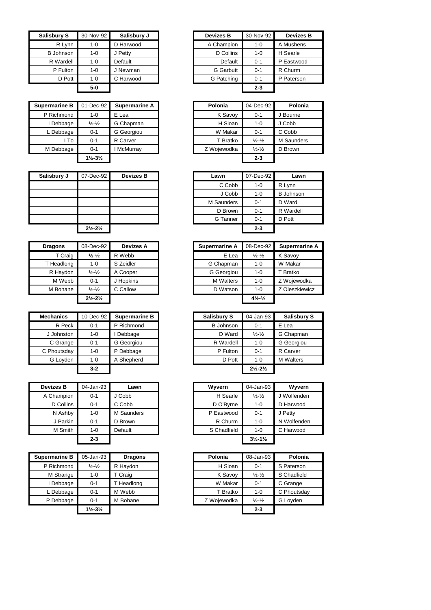| <b>Salisbury S</b> | 30-Nov-92 | Salisbury J | <b>Devizes B</b> | 30-Nov-92 | <b>Devizes B</b> |
|--------------------|-----------|-------------|------------------|-----------|------------------|
| R Lvnn             | 1-0       | D Harwood   | A Champion       | 1-0       | A Mushens        |
| <b>B</b> Johnson   | 1-0       | J Petty     | D Collins        | $1 - 0$   | H Searle         |
| R Wardell          | 1-0       | Default     | Default          | $0 - 1$   | P Eastwood       |
| P Fulton           | 1-0       | J Newman    | <b>G</b> Garbutt | $0 - 1$   | R Churm          |
| D Pott             | 1-0       | C Harwood   | G Patching       | $0 - 1$   | P Paterson       |
|                    | $5-0$     |             |                  | $2 - 3$   |                  |

| <b>Supermarine B</b> | 01-Dec-92                     | Supermarine A | Polonia     | 04-Dec-92                   |
|----------------------|-------------------------------|---------------|-------------|-----------------------------|
| P Richmond           | 1-0                           | E Lea         | K Savoy     | $0 - 1$                     |
| Debbage              | $\frac{1}{2} - \frac{1}{2}$   | G Chapman     | H Sloan     | $1 - 0$                     |
| L Debbage            | 0-1                           | G Georgiou    | W Makar     | $0 - 1$                     |
| l To                 | $0 - 1$                       | R Carver      | T Bratko    | $\frac{1}{2} - \frac{1}{2}$ |
| M Debbage            | 0-1                           | McMurray      | Z Wojewodka | $\frac{1}{2} - \frac{1}{2}$ |
|                      | $1\frac{1}{2} - 3\frac{1}{2}$ |               |             | $2 - 3$                     |

| Salisbury J | 07-Dec-92                     | <b>Devizes B</b> | Lawn       | 07-Dec-92 |
|-------------|-------------------------------|------------------|------------|-----------|
|             |                               |                  | C Cobb     | 1-0       |
|             |                               |                  | J Cobb     | $1 - 0$   |
|             |                               |                  | M Saunders | $0 - 1$   |
|             |                               |                  | D Brown    | $0 - 1$   |
|             |                               |                  | G Tanner   | $0 - 1$   |
|             | $2\frac{1}{2} - 2\frac{1}{2}$ |                  |            | $2 - 3$   |

| <b>Dragons</b> | 08-Dec-92                     | <b>Devizes A</b> | <b>Supermarine A</b> | 08-Dec-92                      | Superm   |
|----------------|-------------------------------|------------------|----------------------|--------------------------------|----------|
| T Craig        | $\frac{1}{2} - \frac{1}{2}$   | R Webb           | E Lea                | $\frac{1}{2} - \frac{1}{2}$    | K Savoy  |
| T Headlong     | 1-0                           | S Zeidler        | G Chapman            | $1 - 0$                        | W Makar  |
| R Haydon       | $\frac{1}{2} - \frac{1}{2}$   | A Cooper         | G Georgiou           | $1 - 0$                        | T Bratko |
| M Webb         | $0 - 1$                       | J Hopkins        | <b>M</b> Walters     | $1 - 0$                        | Z Wojew  |
| M Bohane       | $\frac{1}{2} - \frac{1}{2}$   | C Callow         | D Watson             | 1-0                            | Z Oleszk |
|                | $2\frac{1}{2} - 2\frac{1}{2}$ |                  |                      | $4\frac{1}{2}$ - $\frac{1}{2}$ |          |

| <b>Mechanics</b> | 10-Dec-92 | Supermarine B | <b>Salisbury S</b> | 04-Jan-93                     | <b>Salisb</b> |
|------------------|-----------|---------------|--------------------|-------------------------------|---------------|
| R Peck           | $0 - 1$   | P Richmond    | <b>B</b> Johnson   | $0 - 1$                       | E Lea         |
| J Johnston       | $1 - 0$   | Debbage       | D Ward             | $\frac{1}{2} - \frac{1}{2}$   | G Chapn       |
| C Grange         | $0 - 1$   | G Georgiou    | R Wardell          | $1 - 0$                       | G Georg       |
| C Phoutsday      | $1 - 0$   | P Debbage     | P Fulton           | $0 - 1$                       | R Carver      |
| G Lovden         | $1 - 0$   | A Shepherd    | D Pott             | $1 - 0$                       | M Walter      |
|                  | $3-2$     |               |                    | $2\frac{1}{2} - 2\frac{1}{2}$ |               |

| <b>Devizes B</b> | 04-Jan-93 | Lawn       | Wyvern      | 04-Jan-93                     | Wyvern      |
|------------------|-----------|------------|-------------|-------------------------------|-------------|
| A Champion       | 0-1       | J Cobb     | H Searle    | $\frac{1}{2} - \frac{1}{2}$   | J Wolfender |
| D Collins        | 0-1       | C Cobb     | D O'Byrne   | 1-0                           | D Harwood   |
| N Ashby          | 1-0       | M Saunders | P Eastwood  | $0 - 1$                       | J Petty     |
| J Parkin         | 0-1       | D Brown    | R Churm     | 1-0                           | N Wolfender |
| M Smith          | 1-0       | Default    | S Chadfield | 1-0                           | C Harwood   |
|                  | $2 - 3$   |            |             | $3\frac{1}{2} - 1\frac{1}{2}$ |             |

| <b>Supermarine B</b> | 05-Jan-93                     | <b>Dragons</b> | Polonia     | 08-Jan-93                   | Polonia     |
|----------------------|-------------------------------|----------------|-------------|-----------------------------|-------------|
| P Richmond           | $\frac{1}{2} - \frac{1}{2}$   | R Haydon       | H Sloan     | $0 - 1$                     | S Paterson  |
| M Strange            | 1-0                           | T Craig        | K Savoy     | $\frac{1}{2} - \frac{1}{2}$ | S Chadfield |
| Debbage              | $0 - 1$                       | Headlong       | W Makar     | $0 - 1$                     | C Grange    |
| . Debbage            | $0 - 1$                       | M Webb         | T Bratko    | $1 - 0$                     | C Phoutsday |
| P Debbage            | $0 - 1$                       | M Bohane       | Z Wojewodka | $\frac{1}{2} - \frac{1}{2}$ | G Loyden    |
|                      | $1\frac{1}{2} - 3\frac{1}{2}$ |                |             | $2 - 3$                     |             |

| sbury S   | 30-Nov-92 | Salisbury J | <b>Devizes B</b> | 30-Nov-92 | <b>Devizes B</b> |
|-----------|-----------|-------------|------------------|-----------|------------------|
| R Lynn    | $1 - 0$   | D Harwood   | A Champion       | $1-0$     | A Mushens        |
| Johnson   | $1 - 0$   | J Petty     | D Collins        | $1 - 0$   | H Searle         |
| R Wardell | $1 - 0$   | Default     | Default          | $0 - 1$   | P Eastwood       |
| P Fulton  | $1 - 0$   | J Newman    | <b>G</b> Garbutt | $0 - 1$   | R Churm          |
| D Pott    | $1 - 0$   | C Harwood   | G Patching       | $0 - 1$   | P Paterson       |
|           | $5-0$     |             |                  | $2 - 3$   |                  |

| e B  | 01-Dec-92                     | Supermarine A | Polonia     | 04-Dec-92                   | Polonia    |
|------|-------------------------------|---------------|-------------|-----------------------------|------------|
| ond  | $1 - 0$                       | E Lea         | K Savoy     | $0 - 1$                     | J Bourne   |
| age  | $\frac{1}{2} - \frac{1}{2}$   | G Chapman     | H Sloan     | $1 - 0$                     | J Cobb     |
| age  | $0 - 1$                       | G Georgiou    | W Makar     | $0 - 1$                     | C Cobb     |
| l To | $0 - 1$                       | R Carver      | T Bratko    | $\frac{1}{2} - \frac{1}{2}$ | M Saunders |
| age  | $0 - 1$                       | McMurray      | Z Wojewodka | $\frac{1}{2} - \frac{1}{2}$ | D Brown    |
|      | $1\frac{1}{2} - 3\frac{1}{2}$ |               |             | $2 - 3$                     |            |
|      |                               |               |             |                             |            |

| 07-Dec-92                     | <b>Devizes B</b> | Lawn       | 07-Dec-92 | Lawn             |
|-------------------------------|------------------|------------|-----------|------------------|
|                               |                  | C Cobb     | $1 - 0$   | R Lynn           |
|                               |                  | J Cobb     | $1 - 0$   | <b>B</b> Johnson |
|                               |                  | M Saunders | $0 - 1$   | D Ward           |
|                               |                  | D Brown    | $0 - 1$   | R Wardell        |
|                               |                  | G Tanner   | $0 - 1$   | D Pott           |
| $2\frac{1}{2} - 2\frac{1}{2}$ |                  |            | $2 - 3$   |                  |

| <b>Dragons</b> | 08-Dec-92                     | <b>Devizes A</b> | <b>Supermarine A</b> |       | 08-Dec-92                    | <b>Supermarine A</b> |
|----------------|-------------------------------|------------------|----------------------|-------|------------------------------|----------------------|
| T Craig        | $\frac{1}{2} - \frac{1}{2}$   | R Webb           |                      | E Lea | $\frac{1}{2} - \frac{1}{2}$  | K Savoy              |
| T Headlong     | $1 - 0$                       | S Zeidler        | G Chapman            |       | 1-0                          | W Makar              |
| R Haydon       | $\frac{1}{2} - \frac{1}{2}$   | A Cooper         | G Georgiou           |       | 1-0                          | T Bratko             |
| M Webb         | $0 - 1$                       | J Hopkins        | <b>M</b> Walters     |       | 1-0                          | Z Wojewodka          |
| M Bohane       | $\frac{1}{2} - \frac{1}{2}$   | C Callow         | D Watson             |       | 1-0                          | Z Oleszkiewicz       |
|                | $2\frac{1}{2} - 2\frac{1}{2}$ |                  |                      |       | $4\frac{1}{2}$ $\frac{1}{2}$ |                      |

| Mechanics   | 10-Dec-92 | <b>Supermarine B</b> | <b>Salisbury S</b> | 04-Jan-93                     | <b>Salisbury S</b> |
|-------------|-----------|----------------------|--------------------|-------------------------------|--------------------|
| R Peck      | $0 - 1$   | P Richmond           | <b>B</b> Johnson   | $0 - 1$                       | E Lea              |
| J Johnston  | $1 - 0$   | Debbage              | D Ward             | $\frac{1}{2} - \frac{1}{2}$   | G Chapman          |
| C Grange    | $0 - 1$   | G Georgiou           | R Wardell          | $1 - 0$                       | G Georgiou         |
| C Phoutsday | $1 - 0$   | P Debbage            | P Fulton           | $0 - 1$                       | R Carver           |
| G Loyden    | $1 - 0$   | A Shepherd           | D Pott             | $1 - 0$                       | <b>M</b> Walters   |
|             | $3-2$     |                      |                    | $2\frac{1}{2} - 2\frac{1}{2}$ |                    |

| evizes B   | 04-Jan-93 | Lawn       | Wyvern      | 04-Jan-93                     | Wyvern      |
|------------|-----------|------------|-------------|-------------------------------|-------------|
| A Champion | $0 - 1$   | J Cobb     | H Searle    | $\frac{1}{2} - \frac{1}{2}$   | J Wolfenden |
| D Collins  | $0 - 1$   | C Cobb     | D O'Byrne   | $1 - 0$                       | D Harwood   |
| N Ashby    | 1-0       | M Saunders | P Eastwood  | $0 - 1$                       | J Petty     |
| J Parkin   | $0 - 1$   | D Brown    | R Churm     | 1-0                           | N Wolfenden |
| M Smith    | 1-0       | Default    | S Chadfield | 1-0                           | C Harwood   |
|            | $2 - 3$   |            |             | $3\frac{1}{2} - 1\frac{1}{2}$ |             |

| 05-Jan-93                     | <b>Dragons</b> | Polonia | 08-Jan-93                                                | Polonia     |
|-------------------------------|----------------|---------|----------------------------------------------------------|-------------|
| $\frac{1}{2} - \frac{1}{2}$   | R Haydon       |         | $0 - 1$                                                  | S Paterson  |
| $1 - 0$                       | T Craig        |         | $\frac{1}{2} - \frac{1}{2}$                              | S Chadfield |
| $0 - 1$                       | T Headlong     |         | $0 - 1$                                                  | C Grange    |
| $0 - 1$                       | M Webb         |         | 1-0                                                      | C Phoutsday |
| $0 - 1$                       | M Bohane       |         | $\frac{1}{2} - \frac{1}{2}$                              | G Loyden    |
| $1\frac{1}{2} - 3\frac{1}{2}$ |                |         | $2 - 3$                                                  |             |
|                               |                |         | H Sloan<br>K Savoy<br>W Makar<br>T Bratko<br>Z Wojewodka |             |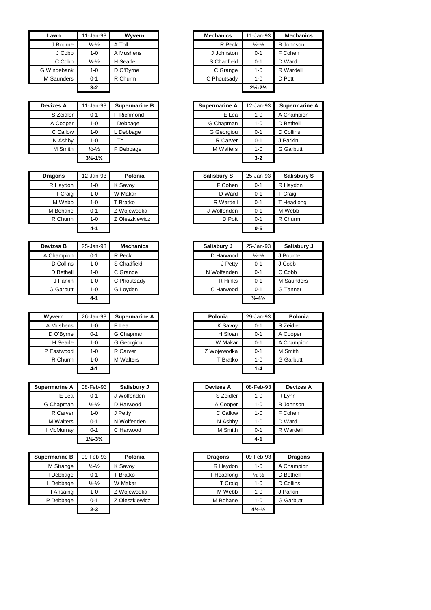| Lawn        | 11-Jan-93                   | Wyvern    | <b>Mechanics</b> | 11-Jan-93                     | Mecha            |
|-------------|-----------------------------|-----------|------------------|-------------------------------|------------------|
| J Bourne    | $\frac{1}{2} - \frac{1}{2}$ | A Toll    | R Peck           | $\frac{1}{2} - \frac{1}{2}$   | <b>B</b> Johnsor |
| J Cobb      | 1-0                         | A Mushens | J Johnston       | $0 - 1$                       | F Cohen          |
| C Cobb      | $\frac{1}{2} - \frac{1}{2}$ | H Searle  | S Chadfield      | $0 - 1$                       | D Ward           |
| G Windebank | $1 - 0$                     | D O'Byrne | C Grange         | 1-0                           | R Wardell        |
| M Saunders  | $0 - 1$                     | R Churm   | C Phoutsady      | $1 - 0$                       | D Pott           |
|             | $3-2$                       |           |                  | $2\frac{1}{2} - 2\frac{1}{2}$ |                  |

| <b>Devizes A</b> | 11-Jan-93                     | <b>Supermarine B</b> | <b>Supermarine A</b> | 12-Jar  |
|------------------|-------------------------------|----------------------|----------------------|---------|
| S Zeidler        | $0 - 1$                       | P Richmond           | E Lea                | $1 - 0$ |
| A Cooper         | 1-0                           | Debbage              | G Chapman            | $1 - 0$ |
| C Callow         | $1 - 0$                       | L Debbage            | G Georgiou           | $0 - 1$ |
| N Ashby          | $1 - 0$                       | To                   | R Carver             | $0 - 1$ |
| M Smith          | $\frac{1}{2} - \frac{1}{2}$   | P Debbage            | <b>M</b> Walters     | $1 - 0$ |
|                  | $3\frac{1}{2} - 1\frac{1}{2}$ |                      |                      | $3 - 2$ |

| <b>Dragons</b> | 12-Jan-93 | Polonia        | <b>Salisbury S</b> | 25-Jan-93 | <b>Salisk</b> |
|----------------|-----------|----------------|--------------------|-----------|---------------|
| R Haydon       | $1 - 0$   | K Savoy        | F Cohen            | $0 - 1$   | R Haydo       |
| T Craig        | $1 - 0$   | W Makar        | D Ward             | $0 - 1$   | T Craig       |
| M Webb         | $1 - 0$   | T Bratko       | R Wardell          | $0 - 1$   | T Headk       |
| M Bohane       | $0 - 1$   | Z Wojewodka    | J Wolfenden        | $0 - 1$   | M Webb        |
| R Churm        | $1 - 0$   | Z Oleszkiewicz | D Pott             | $0 - 1$   | R Churn       |
|                | $4 - 1$   |                |                    | $0 - 5$   |               |

| <b>Devizes B</b> | 25-Jan-93 | <b>Mechanics</b> | Salisbury J | 25-Jan-93                    | <b>Salisb</b>   |
|------------------|-----------|------------------|-------------|------------------------------|-----------------|
| A Champion       | $0 - 1$   | R Peck           | D Harwood   | $\frac{1}{2} - \frac{1}{2}$  | J Bourne        |
| D Collins        | $1 - 0$   | S Chadfield      | J Petty     | $0 - 1$                      | J Cobb          |
| D Bethell        | $1 - 0$   | C Grange         | N Wolfenden | $0 - 1$                      | C Cobb          |
| J Parkin         | 1-0       | C Phoutsady      | R Hinks     | $0 - 1$                      | M Saund         |
| <b>G</b> Garbutt | $1 - 0$   | G Loyden         | C Harwood   | $0 - 1$                      | <b>G</b> Tanner |
|                  | 4-1       |                  |             | $\frac{1}{2} - 4\frac{1}{2}$ |                 |

| Wyvern     | 26-Jan-93 | Supermarine A    | Polonia     | 29-Jan-93 | Polo            |
|------------|-----------|------------------|-------------|-----------|-----------------|
| A Mushens  | 1-0       | E Lea            | K Savoy     | $0 - 1$   | S Zeidler       |
| D O'Byrne  | $0 - 1$   | G Chapman        | H Sloan     | $0 - 1$   | A Cooper        |
| H Searle   | $1 - 0$   | G Georgiou       | W Makar     | $0 - 1$   | A Champ         |
| P Eastwood | $1 - 0$   | R Carver         | Z Wojewodka | $0 - 1$   | M Smith         |
| R Churm    | $1 - 0$   | <b>M</b> Walters | T Bratko    | $1 - 0$   | <b>G</b> Garbut |
|            | 4-1       |                  |             | $1 - 4$   |                 |

| Supermarine A    | 08-Feb-93                     | Salisbury J | <b>Devizes A</b> | 08-Feb-93 | <b>Devizes A</b> |
|------------------|-------------------------------|-------------|------------------|-----------|------------------|
| E Lea            | $0 - 1$                       | J Wolfenden | S Zeidler        | $1 - 0$   | R Lynn           |
| G Chapman        | $\frac{1}{2} - \frac{1}{2}$   | D Harwood   | A Cooper         | $1 - 0$   | <b>B</b> Johnson |
| R Carver         | 1-0                           | J Petty     | C Callow         | $1 - 0$   | F Cohen          |
| <b>M</b> Walters | $0 - 1$                       | N Wolfenden | N Ashby          | $1 - 0$   | D Ward           |
| I McMurray       | $0 - 1$                       | C Harwood   | M Smith          | $0 - 1$   | R Wardell        |
|                  | $1\frac{1}{2} - 3\frac{1}{2}$ |             |                  | $4 - 1$   |                  |

| Supermarine B | 09-Feb-93                   | Polonia        | <b>Dragons</b> | 09-Feb-93                    |                  |
|---------------|-----------------------------|----------------|----------------|------------------------------|------------------|
| M Strange     | $\frac{1}{2} - \frac{1}{2}$ | K Savov        | R Haydon       | 1-0                          | A Champion       |
| Debbage       | $0 - 1$                     | T Bratko       | T Headlong     | $\frac{1}{2} - \frac{1}{2}$  | D Bethell        |
| Debbage       | $\frac{1}{2} - \frac{1}{2}$ | W Makar        | T Craig        | 1-0                          | D Collins        |
| Ansaing       | 1-0                         | Z Wojewodka    | M Webb         | 1-0                          | J Parkin         |
| P Debbage     | $0 - 1$                     | Z Oleszkiewicz | M Bohane       | $1 - 0$                      | <b>G</b> Garbutt |
|               | $2 - 3$                     |                |                | $4\frac{1}{2}$ $\frac{1}{2}$ |                  |

| Lawn       | 11-Jan-93                   | Wyvern    | <b>Mechanics</b> | 11-Jan-93                     | <b>Mechanics</b> |
|------------|-----------------------------|-----------|------------------|-------------------------------|------------------|
| J Bourne   | $\frac{1}{2} - \frac{1}{2}$ | A Toll    | R Peck           | $\frac{1}{2} - \frac{1}{2}$   | <b>B</b> Johnson |
| J Cobb     | $1 - 0$                     | A Mushens | J Johnston       | $0 - 1$                       | F Cohen          |
| C Cobb     | $\frac{1}{2} - \frac{1}{2}$ | H Searle  | S Chadfield      | $0 - 1$                       | D Ward           |
| Windebank  | $1 - 0$                     | D O'Byrne | C Grange         | 1-0                           | R Wardell        |
| 1 Saunders | $0 - 1$                     | R Churm   | C Phoutsady      | 1-0                           | D Pott           |
|            | $3-2$                       |           |                  | $2\frac{1}{2} - 2\frac{1}{2}$ |                  |

| Devizes A | 11-Jan-93                     | <b>Supermarine B</b> | <b>Supermarine A</b> | 12-Jan-93 | Supermarine A    |
|-----------|-------------------------------|----------------------|----------------------|-----------|------------------|
| S Zeidler | $0 - 1$                       | P Richmond           | E Lea                | $1 - 0$   | A Champion       |
| A Cooper  | 1-0                           | Debbage              | G Chapman            | $1 - 0$   | D Bethell        |
| C Callow  | 1-0                           | Debbage              | G Georgiou           | $0 - 1$   | D Collins        |
| N Ashby   | $1 - 0$                       | ∣ To                 | R Carver             | $0 - 1$   | J Parkin         |
| M Smith   | $\frac{1}{2} - \frac{1}{2}$   | P Debbage            | <b>M</b> Walters     | $1 - 0$   | <b>G</b> Garbutt |
|           | $3\frac{1}{2} - 1\frac{1}{2}$ |                      |                      | $3-2$     |                  |

| <b>Dragons</b> | 12-Jan-93 | Polonia        | Salisbury S | 25-Jan-93 | <b>Salisbury S</b> |
|----------------|-----------|----------------|-------------|-----------|--------------------|
| R Haydon       | 1-0       | K Savov        | F Cohen     | $0 - 1$   | R Haydon           |
| T Craig        | 1-0       | W Makar        | D Ward      | $0 - 1$   | T Craig            |
| M Webb         | 1-0       | T Bratko       | R Wardell   | $0 - 1$   | T Headlong         |
| M Bohane       | $0 - 1$   | Z Wojewodka    | J Wolfenden | $0 - 1$   | M Webb             |
| R Churm        | $1 - 0$   | Z Oleszkiewicz | D Pott      | $0 - 1$   | R Churm            |
|                | $4 - 1$   |                |             | $0 - 5$   |                    |

| Devizes B        | 25-Jan-93 | <b>Mechanics</b> | Salisbury J | 25-Jan-93                   | Salisbury J |
|------------------|-----------|------------------|-------------|-----------------------------|-------------|
| A Champion       | $0 - 1$   | R Peck           | D Harwood   | $\frac{1}{2} - \frac{1}{2}$ | J Bourne    |
| D Collins        | 1-0       | S Chadfield      | J Petty     | $0 - 1$                     | J Cobb      |
| D Bethell        | 1-0       | C Grange         | N Wolfenden | $0 - 1$                     | C Cobb      |
| J Parkin         | 1-0       | C Phoutsady      | R Hinks     | $0 - 1$                     | M Saunders  |
| <b>G</b> Garbutt | $1 - 0$   | G Loyden         | C Harwood   | $0 - 1$                     | G Tanner    |
|                  | $4 - 1$   |                  |             | $\frac{1}{2} - \frac{4}{2}$ |             |

| Wyvern     | 26-Jan-93 | Supermarine A    | Polonia     | 29-Jan-93 | Polonia          |
|------------|-----------|------------------|-------------|-----------|------------------|
| A Mushens  | $1 - 0$   | E Lea            | K Savoy     | $0 - 1$   | S Zeidler        |
| D O'Byrne  | $0 - 1$   | G Chapman        | H Sloan     | $0 - 1$   | A Cooper         |
| H Searle   | $1 - 0$   | G Georgiou       | W Makar     | $0 - 1$   | A Champion       |
| P Eastwood | $1 - 0$   | R Carver         | Z Wojewodka | $0 - 1$   | M Smith          |
| R Churm    | $1 - 0$   | <b>M</b> Walters | T Bratko    | 1-0       | <b>G</b> Garbutt |
|            | $4 - 1$   |                  |             | $1 - 4$   |                  |

| 'ine A        | 08-Feb-93                     | Salisbury J | <b>Devizes A</b> | 08-Feb-93 | <b>Devizes A</b> |
|---------------|-------------------------------|-------------|------------------|-----------|------------------|
| E Lea         | $0 - 1$                       | J Wolfenden | S Zeidler        | $1 - 0$   | R Lynn           |
| ıpman         | $\frac{1}{2} - \frac{1}{2}$   | D Harwood   | A Cooper         | $1 - 0$   | <b>B</b> Johnson |
| Carver:       | 1-0                           | J Petty     | C Callow         | $1 - 0$   | F Cohen          |
| 'alters       | $0 - 1$                       | N Wolfenden | N Ashby          | $1 - 0$   | D Ward           |
| <b>Aurray</b> | $0 - 1$                       | C Harwood   | M Smith          | $0 - 1$   | R Wardell        |
|               | $1\frac{1}{2} - 3\frac{1}{2}$ |             |                  | $4 - 1$   |                  |

| 09-Feb-93<br>$\frac{1}{2} - \frac{1}{2}$ | Polonia        | <b>Dragons</b> | 09-Feb-93                    | <b>Dragons</b>   |
|------------------------------------------|----------------|----------------|------------------------------|------------------|
|                                          |                |                |                              |                  |
|                                          | K Savoy        | R Haydon       | 1-0                          | A Champion       |
| $0 - 1$                                  | Bratko         | T Headlong     | $\frac{1}{2} - \frac{1}{2}$  | D Bethell        |
| $\frac{1}{2} - \frac{1}{2}$              | W Makar        | T Craig        | 1-0                          | D Collins        |
| $1 - 0$                                  | Z Wojewodka    | M Webb         | 1-0                          | J Parkin         |
| $0 - 1$                                  | Z Oleszkiewicz | M Bohane       | $1 - 0$                      | <b>G</b> Garbutt |
| $2 - 3$                                  |                |                | $4\frac{1}{2}$ $\frac{1}{2}$ |                  |
|                                          |                |                |                              |                  |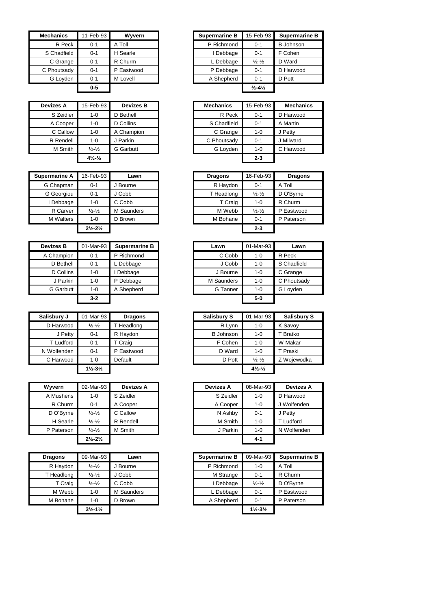| <b>Mechanics</b> | 11-Feb-93 | Wyvern     | <b>Supermarine B</b> | 15-Feb-93                    | Supermar         |
|------------------|-----------|------------|----------------------|------------------------------|------------------|
| R Peck           | $0 - 1$   | A Toll     | P Richmond           | $0 - 1$                      | <b>B</b> Johnson |
| S Chadfield      | $0 - 1$   | H Searle   | Debbage              | $0 - 1$                      | F Cohen          |
| C Grange         | $0 - 1$   | R Churm    | L Debbage            | $\frac{1}{2} - \frac{1}{2}$  | D Ward           |
| C Phoutsady      | $0 - 1$   | P Eastwood | P Debbage            | $0 - 1$                      | D Harwood        |
| G Loyden         | $0 - 1$   | M Lovell   | A Shepherd           | $0 - 1$                      | D Pott           |
|                  | $0-5$     |            |                      | $\frac{1}{2} - 4\frac{1}{2}$ |                  |

| <b>Devizes A</b> | 15-Feb-93                      | <b>Devizes B</b> | <b>Mechanics</b> | 15-Feb-93 | Mecha     |
|------------------|--------------------------------|------------------|------------------|-----------|-----------|
| S Zeidler        | 1-0                            | D Bethell        | R Peck           | $0 - 1$   | D Harwoo  |
| A Cooper         | 1-0                            | D Collins        | S Chadfield      | $0 - 1$   | A Martin  |
| C Callow         | 1-0                            | A Champion       | C Grange         | $1 - 0$   | J Petty   |
| R Rendell        | $1 - 0$                        | J Parkin         | C Phoutsady      | $0 - 1$   | J Milward |
| M Smith          | $\frac{1}{2} - \frac{1}{2}$    | <b>G</b> Garbutt | G Loyden         | $1 - 0$   | C Harwoo  |
|                  | $4\frac{1}{2}$ - $\frac{1}{2}$ |                  |                  | $2 - 3$   |           |

| <b>Supermarine A</b> | 16-Feb-93                     | Lawn       | <b>Dragons</b> | 16-Feb-93                   | <b>Dragons</b> |
|----------------------|-------------------------------|------------|----------------|-----------------------------|----------------|
| G Chapman            | $0 - 1$                       | J Bourne   | R Haydon       | $0 - 1$                     | A Toll         |
| G Georgiou           | $0 - 1$                       | J Cobb     | T Headlong     | $\frac{1}{2} - \frac{1}{2}$ | D O'Byrne      |
| Debbage              | 1-0                           | C Cobb     | T Craig        | 1-0                         | R Churm        |
| R Carver             | $\frac{1}{2} - \frac{1}{2}$   | M Saunders | M Webb         | $\frac{1}{2} - \frac{1}{2}$ | P Eastwood     |
| <b>M</b> Walters     | 1-0                           | D Brown    | M Bohane       | $0 - 1$                     | P Paterson     |
|                      | $2\frac{1}{2} - 2\frac{1}{2}$ |            |                | $2 - 3$                     |                |
|                      |                               |            |                |                             |                |

| <b>Devizes B</b> | 01-Mar-93 | <b>Supermarine B</b> | Lawn       | 01-Mar-93 |             |
|------------------|-----------|----------------------|------------|-----------|-------------|
| A Champion       | $0 - 1$   | P Richmond           | C Cobb     | $1 - 0$   | R Peck      |
| D Bethell        | $0 - 1$   | Debbage              | J Cobb     | 1-0       | S Chadfield |
| D Collins        | $1 - 0$   | Debbage              | J Bourne   | $1 - 0$   | C Grange    |
| J Parkin         | $1 - 0$   | P Debbage            | M Saunders | $1 - 0$   | C Phoutsa   |
| <b>G</b> Garbutt | $1 - 0$   | A Shepherd           | G Tanner   | 1-0       | G Loyden    |
|                  | $3 - 2$   |                      |            | $5-0$     |             |

| Salisbury J | 01-Mar-93                     | <b>Dragons</b> | <b>Salisbury S</b> | 01-Mar-93                      | <b>Salisb</b> |
|-------------|-------------------------------|----------------|--------------------|--------------------------------|---------------|
| D Harwood   | $\frac{1}{2} - \frac{1}{2}$   | T Headlong     | R Lynn             | $1 - 0$                        | K Savoy       |
| J Petty     | $0 - 1$                       | R Haydon       | <b>B</b> Johnson   | 1-0                            | T Bratko      |
| T Ludford   | $0 - 1$                       | T Craig        | F Cohen            | 1-0                            | W Makar       |
| N Wolfenden | $0 - 1$                       | P Eastwood     | D Ward             | 1-0                            | T Praski      |
| C Harwood   | $1 - 0$                       | Default        | D Pott             | $\frac{1}{2} - \frac{1}{2}$    | Z Wojew       |
|             | $1\frac{1}{2} - 3\frac{1}{2}$ |                |                    | $4\frac{1}{2}$ - $\frac{1}{2}$ |               |

| Wyvern     | 02-Mar-93                     | <b>Devizes A</b> | <b>Devizes A</b> | 08-Mar-93 | <b>Devizes</b> |
|------------|-------------------------------|------------------|------------------|-----------|----------------|
| A Mushens  | $1 - 0$                       | S Zeidler        | S Zeidler        | 1-0       | D Harwood      |
| R Churm    | $0 - 1$                       | A Cooper         | A Cooper         | $1 - 0$   | J Wolfende     |
| D O'Byrne  | $\frac{1}{2} - \frac{1}{2}$   | C Callow         | N Ashby          | $0 - 1$   | J Petty        |
| H Searle   | $\frac{1}{2} - \frac{1}{2}$   | R Rendell        | M Smith          | $1 - 0$   | T Ludford      |
| P Paterson | $\frac{1}{2} - \frac{1}{2}$   | M Smith          | J Parkin         | $1 - 0$   | N Wolfend      |
|            | $2\frac{1}{2} - 2\frac{1}{2}$ |                  |                  | $4 - 1$   |                |

| <b>Dragons</b> | 09-Mar-93                     | Lawn       | <b>Supermarine B</b> | 09-Mar-93                     | Superm   |
|----------------|-------------------------------|------------|----------------------|-------------------------------|----------|
| R Haydon       | $\frac{1}{2} - \frac{1}{2}$   | Bourne     | P Richmond           | $1 - 0$                       | A Toll   |
| T Headlong     | $\frac{1}{2} - \frac{1}{2}$   | J Cobb     | M Strange            | $0 - 1$                       | R Churm  |
| T Craig        | $\frac{1}{2} - \frac{1}{2}$   | C Cobb     | Debbage              | $\frac{1}{2} - \frac{1}{2}$   | D O'Byrn |
| M Webb         | $1 - 0$                       | M Saunders | L Debbage            | $0 - 1$                       | P Eastwo |
| M Bohane       | $1 - 0$                       | D Brown    | A Shepherd           | $0 - 1$                       | P Paters |
|                | $3\frac{1}{2} - 1\frac{1}{2}$ |            |                      | $1\frac{1}{2} - 3\frac{1}{2}$ |          |

| Mechanics   | 11-Feb-93 | Wyvern     | <b>Supermarine B</b> | 15-Feb-93                    | <b>Supermarine B</b> |
|-------------|-----------|------------|----------------------|------------------------------|----------------------|
| R Peck      | $0 - 1$   | A Toll     | P Richmond           | $0 - 1$                      | B Johnson            |
| S Chadfield | $0 - 1$   | H Searle   | Debbage              | $0 - 1$                      | F Cohen              |
| C Grange    | $0 - 1$   | R Churm    | L Debbage            | $\frac{1}{2} - \frac{1}{2}$  | D Ward               |
| C Phoutsady | $0 - 1$   | P Eastwood | P Debbage            | $0 - 1$                      | D Harwood            |
| G Loyden    | $0 - 1$   | M Lovell   | A Shepherd           | $0 - 1$                      | D Pott               |
|             | $0-5$     |            |                      | $\frac{1}{2} - 4\frac{1}{2}$ |                      |

| Devizes A | 15-Feb-93                      | <b>Devizes B</b> | <b>Mechanics</b> | 15-Feb-93 | <b>Mechanics</b> |
|-----------|--------------------------------|------------------|------------------|-----------|------------------|
| S Zeidler | $1 - 0$                        | D Bethell        | R Peck           | $0 - 1$   | D Harwood        |
| A Cooper  | 1-0                            | D Collins        | S Chadfield      | $0 - 1$   | A Martin         |
| C Callow  | $1 - 0$                        | A Champion       | C Grange         | $1 - 0$   | J Petty          |
| R Rendell | $1 - 0$                        | J Parkin         | C Phoutsady      | $0 - 1$   | J Milward        |
| M Smith   | $\frac{1}{2} - \frac{1}{2}$    | G Garbutt        | G Loyden         | $1 - 0$   | C Harwood        |
|           | $4\frac{1}{2}$ - $\frac{1}{2}$ |                  |                  | $2 - 3$   |                  |

| 16-Feb-93                     |            |                |                             |                |
|-------------------------------|------------|----------------|-----------------------------|----------------|
|                               | Lawn       | <b>Dragons</b> | 16-Feb-93                   | <b>Dragons</b> |
| $0 - 1$                       | J Bourne   | R Haydon       | $0 - 1$                     | A Toll         |
| $0 - 1$                       | J Cobb     |                | $\frac{1}{2} - \frac{1}{2}$ | D O'Bvrne      |
| $1 - 0$                       | C Cobb     | T Craig        | $1 - 0$                     | R Churm        |
| $\frac{1}{2} - \frac{1}{2}$   | M Saunders | M Webb         | $\frac{1}{2} - \frac{1}{2}$ | P Eastwood     |
| $1 - 0$                       | D Brown    |                | $0 - 1$                     | P Paterson     |
| $2\frac{1}{2} - 2\frac{1}{2}$ |            |                | $2 - 3$                     |                |
|                               |            |                | T Headlong<br>M Bohane      |                |

| izes B    | 01-Mar-93 | <b>Supermarine B</b> | Lawn       | 01-Mar-93 | Lawn        |
|-----------|-----------|----------------------|------------|-----------|-------------|
| hampion   | $0 - 1$   | P Richmond           | C Cobb     | $1 - 0$   | R Peck      |
| D Bethell | $0 - 1$   | . Debbage            | J Cobb     | $1 - 0$   | S Chadfield |
| D Collins | 1-0       | Debbage              | J Bourne   | $1 - 0$   | C Grange    |
| J Parkin  | 1-0       | P Debbage            | M Saunders | $1 - 0$   | C Phoutsady |
| Garbutt   | 1-0       | A Shepherd           | G Tanner   | $1 - 0$   | G Loyden    |
|           | $3-2$     |                      |            | $5-0$     |             |

| Salisbury J      | 01-Mar-93                     | <b>Dragons</b> | <b>Salisbury S</b> | 01-Mar-93                    | <b>Salisbury S</b> |
|------------------|-------------------------------|----------------|--------------------|------------------------------|--------------------|
| D Harwood        | $\frac{1}{2} - \frac{1}{2}$   | T Headlong     | R Lynn             | $1 - 0$                      | K Savoy            |
| J Petty          | $0 - 1$                       | R Havdon       | <b>B</b> Johnson   | $1 - 0$                      | T Bratko           |
| <b>T</b> Ludford | $0 - 1$                       | T Craig        | F Cohen            | $1 - 0$                      | W Makar            |
| N Wolfenden      | $0 - 1$                       | P Eastwood     | D Ward             | $1 - 0$                      | T Praski           |
| C Harwood        | $1 - 0$                       | Default        | D Pott             | $\frac{1}{2} - \frac{1}{2}$  | Z Wojewodka        |
|                  | $1\frac{1}{2} - 3\frac{1}{2}$ |                |                    | $4\frac{1}{2}$ $\frac{1}{2}$ |                    |

| Wvvern     | 02-Mar-93                     | Devizes A | <b>Devizes A</b> | 08-Mar-93 | <b>Devizes A</b> |
|------------|-------------------------------|-----------|------------------|-----------|------------------|
| A Mushens  | 1-0                           | S Zeidler | S Zeidler        | 1-0       | D Harwood        |
| R Churm    | $0 - 1$                       | A Cooper  | A Cooper         | 1-0       | J Wolfenden      |
| D O'Byrne  | $\frac{1}{2} - \frac{1}{2}$   | C Callow  | N Ashby          | $0 - 1$   | J Petty          |
| H Searle   | $\frac{1}{2} - \frac{1}{2}$   | R Rendell | M Smith          | 1-0       | T Ludford        |
| P Paterson | $\frac{1}{2} - \frac{1}{2}$   | M Smith   | J Parkin         | 1-0       | N Wolfenden      |
|            | $2\frac{1}{2} - 2\frac{1}{2}$ |           |                  | $4 - 1$   |                  |

| <b>Dragons</b> | 09-Mar-93                     | Lawn       | <b>Supermarine B</b> | 09-Mar-93                     | <b>Supermarine B</b> |
|----------------|-------------------------------|------------|----------------------|-------------------------------|----------------------|
| R Haydon       | $\frac{1}{2} - \frac{1}{2}$   | J Bourne   | P Richmond           | 1-0                           | A Toll               |
| T Headlong     | $\frac{1}{2} - \frac{1}{2}$   | J Cobb     | M Strange            | $0 - 1$                       | R Churm              |
| T Craig        | $\frac{1}{2} - \frac{1}{2}$   | C Cobb     | I Debbage            | $\frac{1}{2} - \frac{1}{2}$   | D O'Byrne            |
| M Webb         | $1 - 0$                       | M Saunders | L Debbage            | $0 - 1$                       | P Eastwood           |
| M Bohane       | $1 - 0$                       | D Brown    | A Shepherd           | $0 - 1$                       | P Paterson           |
|                | $3\frac{1}{2} - 1\frac{1}{2}$ |            |                      | $1\frac{1}{2} - 3\frac{1}{2}$ |                      |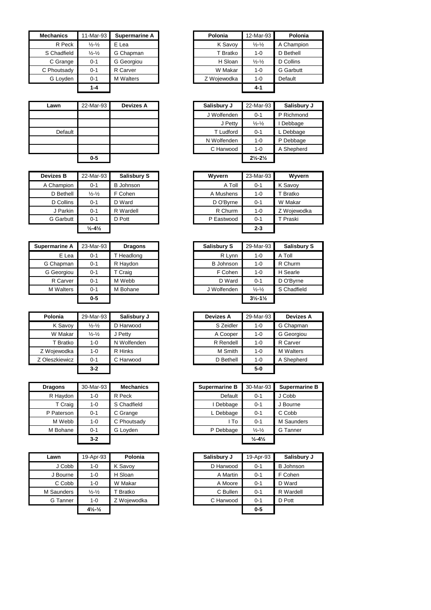| <b>Mechanics</b> | 11-Mar-93                   | Supermarine A    | Polonia     | 12-Mar-93                   | Polonia          |
|------------------|-----------------------------|------------------|-------------|-----------------------------|------------------|
| R Peck           | $\frac{1}{2} - \frac{1}{2}$ | E Lea            | K Savoy     | $\frac{1}{2} - \frac{1}{2}$ | A Champion       |
| S Chadfield      | $\frac{1}{2} - \frac{1}{2}$ | G Chapman        | T Bratko    | $1 - 0$                     | D Bethell        |
| C Grange         | 0-1                         | G Georgiou       | H Sloan     | $\frac{1}{2} - \frac{1}{2}$ | D Collins        |
| C Phoutsady      | 0-1                         | R Carver         | W Makar     | 1-0                         | <b>G</b> Garbutt |
| G Loyden         | 0-1                         | <b>M</b> Walters | Z Wojewodka | 1-0                         | Default          |
|                  | $1 - 4$                     |                  |             | 4-1                         |                  |

| Lawn    | 22-Mar-93 | <b>Devizes A</b> |
|---------|-----------|------------------|
|         |           |                  |
|         |           |                  |
| Default |           |                  |
|         |           |                  |
|         |           |                  |
|         | $0-5$     |                  |

| <b>Devizes B</b> | 22-Mar-93                    | <b>Salisbury S</b> | Wyvern     | 23-Mar-93 | Wyvern     |
|------------------|------------------------------|--------------------|------------|-----------|------------|
| A Champion       | $0 - 1$                      | <b>B</b> Johnson   | A Toll     | $0 - 1$   | K Savoy    |
| D Bethell        | $\frac{1}{2} - \frac{1}{2}$  | F Cohen            | A Mushens  | $1 - 0$   | T Bratko   |
| D Collins        | 0-1                          | D Ward             | D O'Byrne  | $0 - 1$   | W Makar    |
| J Parkin         | $0 - 1$                      | R Wardell          | R Churm    | 1-0       | Z Woiewodk |
| <b>G</b> Garbutt | $0 - 1$                      | D Pott             | P Eastwood | $0 - 1$   | T Praski   |
|                  | $\frac{1}{2} - 4\frac{1}{2}$ |                    |            | $2 - 3$   |            |

| Supermarine A    | 23-Mar-93 | <b>Dragons</b> | Salisbury S      | 29-Mar-93                     | <b>Salisbury S</b> |
|------------------|-----------|----------------|------------------|-------------------------------|--------------------|
| E Lea            | $0 - 1$   | T Headlong     | R Lynn           | $1 - 0$                       | A Toll             |
| G Chapman        | $0 - 1$   | R Haydon       | <b>B</b> Johnson | $1 - 0$                       | R Churm            |
| G Georgiou       | $0 - 1$   | T Craig        | F Cohen          | $1 - 0$                       | H Searle           |
| R Carver         | $0 - 1$   | M Webb         | D Ward           | $0 - 1$                       | D O'Bvrne          |
| <b>M</b> Walters | $0 - 1$   | M Bohane       | J Wolfenden      | $\frac{1}{2} - \frac{1}{2}$   | S Chadfield        |
|                  | $0-5$     |                |                  | $3\frac{1}{2} - 1\frac{1}{2}$ |                    |

| Polonia        | 29-Mar-93                   | Salisbury J | <b>Devizes A</b> | 29-Mar-93 | <b>Devizes</b>   |
|----------------|-----------------------------|-------------|------------------|-----------|------------------|
| K Savoy        | $\frac{1}{2} - \frac{1}{2}$ | D Harwood   | S Zeidler        | $1 - 0$   | G Chapmar        |
| W Makar        | $\frac{1}{2} - \frac{1}{2}$ | J Petty     | A Cooper         | $1 - 0$   | G Georgiou       |
| T Bratko       | 1-0                         | N Wolfenden | R Rendell        | $1 - 0$   | R Carver         |
| Z Wojewodka    | 1-0                         | R Hinks     | M Smith          | $1 - 0$   | <b>M</b> Walters |
| Z Oleszkiewicz | $0 - 1$                     | C Harwood   | D Bethell        | $1 - 0$   | A Shepherd       |
|                | $3-2$                       |             |                  | $5-0$     |                  |

| <b>Dragons</b> | 30-Mar-93 | <b>Mechanics</b> | Supermarine B | 30-Mar-93                    | Superma         |
|----------------|-----------|------------------|---------------|------------------------------|-----------------|
| R Haydon       | 1-0       | R Peck           | Default       | $0 - 1$                      | J Cobb          |
| T Craig        | $1 - 0$   | S Chadfield      | I Debbage     | $0 - 1$                      | J Bourne        |
| P Paterson     | $0 - 1$   | C Grange         | L Debbage     | $0 - 1$                      | C Cobb          |
| M Webb         | $1 - 0$   | C Phoutsady      | l To          | $0 - 1$                      | M Saund         |
| M Bohane       | $0 - 1$   | G Loyden         | P Debbage     | $\frac{1}{2} - \frac{1}{2}$  | <b>G</b> Tanner |
|                | $3-2$     |                  |               | $\frac{1}{2} - 4\frac{1}{2}$ |                 |

| Lawn       | 19-Apr-93                      | Polonia     | Salisbury J | 19-Apr-93 | Salisbu          |
|------------|--------------------------------|-------------|-------------|-----------|------------------|
| J Cobb     | $1 - 0$                        | K Savoy     | D Harwood   | $0 - 1$   | <b>B</b> Johnsor |
| J Bourne   | $1 - 0$                        | H Sloan     | A Martin    | $0 - 1$   | F Cohen          |
| C Cobb     | $1 - 0$                        | W Makar     | A Moore     | $0 - 1$   | D Ward           |
| M Saunders | $\frac{1}{2} - \frac{1}{2}$    | T Bratko    | C Bullen    | $0 - 1$   | R Wardell        |
| G Tanner   | $1 - 0$                        | Z Wojewodka | C Harwood   | $0 - 1$   | D Pott           |
|            | $4\frac{1}{2}$ - $\frac{1}{2}$ |             |             | $0 - 5$   |                  |

| nics.          | 11-Mar-93                   | <b>Supermarine A</b> | Polonia     | 12-Mar-93                   | Polonia          |
|----------------|-----------------------------|----------------------|-------------|-----------------------------|------------------|
| R Peck         | $\frac{1}{2} - \frac{1}{2}$ | E Lea                | K Savoy     | $\frac{1}{2} - \frac{1}{2}$ | A Champion       |
| <b>adfield</b> | $\frac{1}{2} - \frac{1}{2}$ | G Chapman            | T Bratko    | $1 - 0$                     | D Bethell        |
| Grange         | $0 - 1$                     | G Georgiou           | H Sloan     | $\frac{1}{2} - \frac{1}{2}$ | D Collins        |
| outsady        | $0 - 1$                     | R Carver             | W Makar     | $1 - 0$                     | <b>G</b> Garbutt |
| Loyden         | $0 - 1$                     | <b>M</b> Walters     | Z Wojewodka | $1 - 0$                     | Default          |
|                | $1 - 4$                     |                      |             | $4 - 1$                     |                  |

| Lawn    | 22-Mar-93 | <b>Devizes A</b> | Salisbury J      | 22-Mar-93                     | Salisbury J |
|---------|-----------|------------------|------------------|-------------------------------|-------------|
|         |           |                  | J Wolfenden      | $0 - 1$                       | P Richmond  |
|         |           |                  | J Petty          | $\frac{1}{2} - \frac{1}{2}$   | Debbage     |
| Default |           |                  | <b>T</b> Ludford | $0 - 1$                       | L Debbage   |
|         |           |                  | N Wolfenden      | $1 - 0$                       | P Debbage   |
|         |           |                  | C Harwood        | 1-0                           | A Shepherd  |
|         | $0 - 5$   |                  |                  | $2\frac{1}{2} - 2\frac{1}{2}$ |             |

| res B    | 22-Mar-93                    | <b>Salisbury S</b> | Wyvern     | 23-Mar-93 | Wyvern      |
|----------|------------------------------|--------------------|------------|-----------|-------------|
| ampion   | $0 - 1$                      | <b>B</b> Johnson   | A Toll     | $0 - 1$   | K Savoy     |
| Bethell  | $\frac{1}{2} - \frac{1}{2}$  | F Cohen            | A Mushens  | $1 - 0$   | T Bratko    |
| Collins  | $0 - 1$                      | D Ward             | D O'Byrne  | $0 - 1$   | W Makar     |
| J Parkin | $0 - 1$                      | R Wardell          | R Churm    | $1 - 0$   | Z Wojewodka |
| Garbutt  | $0 - 1$                      | D Pott             | P Eastwood | $0 - 1$   | T Praski    |
|          | $\frac{1}{2} - 4\frac{1}{2}$ |                    |            | $2 - 3$   |             |

| 23-Mar-93 | <b>Dragons</b> | <b>Salisbury S</b> | 29-Mar-93                     | <b>Salisbury S</b> |
|-----------|----------------|--------------------|-------------------------------|--------------------|
| $0 - 1$   | Headlong       | R Lynn             | $1 - 0$                       | A Toll             |
| 0-1       | R Haydon       | <b>B</b> Johnson   | $1 - 0$                       | R Churm            |
| $0 - 1$   | T Craig        | F Cohen            | $1 - 0$                       | H Searle           |
| $0 - 1$   | M Webb         | D Ward             | $0 - 1$                       | D O'Byrne          |
| 0-1       | M Bohane       | J Wolfenden        | $\frac{1}{2} - \frac{1}{2}$   | S Chadfield        |
| $0-5$     |                |                    | $3\frac{1}{2} - 1\frac{1}{2}$ |                    |
|           |                |                    |                               |                    |

| Polonia             | 29-Mar-93                   | Salisbury J |
|---------------------|-----------------------------|-------------|
| K Savoy             | $\frac{1}{2} - \frac{1}{2}$ | D Harwood   |
| W Makar             | $\frac{1}{2} - \frac{1}{2}$ | J Petty     |
| T Bratko            | $1 - 0$                     | N Wolfenden |
| Woiewodka           | 1-0                         | R Hinks     |
| <b>Dleszkiewicz</b> | $0 - 1$                     | C Harwood   |
|                     | $3-2$                       |             |

| <b>Dragons</b> | 30-Mar-93 | <b>Mechanics</b> | <b>Supermarine B</b> | 30-Mar-93                    | <b>Supermarine B</b> |
|----------------|-----------|------------------|----------------------|------------------------------|----------------------|
| R Haydon       | 1-0       | R Peck           | Default              | $0 - 1$                      | J Cobb               |
| T Craig        | $1 - 0$   | S Chadfield      | Debbage              | $0 - 1$                      | J Bourne             |
| P Paterson     | $0 - 1$   | C Grange         | L Debbage            | $0 - 1$                      | C Cobb               |
| M Webb         | $1 - 0$   | C Phoutsady      | l To                 | $0 - 1$                      | M Saunders           |
| M Bohane       | $0 - 1$   | G Lovden         | P Debbage            | $\frac{1}{2} - \frac{1}{2}$  | G Tanner             |
|                | $3 - 2$   |                  |                      | $\frac{1}{2} - 4\frac{1}{2}$ |                      |

| 19-Apr-93                      | Polonia     | Salisbury J | 19-Apr-93 | Salisbury J      |
|--------------------------------|-------------|-------------|-----------|------------------|
| $1 - 0$                        | K Savoy     |             | $0 - 1$   | <b>B</b> Johnson |
| $1 - 0$                        | H Sloan     | A Martin    | $0 - 1$   | F Cohen          |
| $1 - 0$                        | W Makar     | A Moore     | $0 - 1$   | D Ward           |
| $\frac{1}{2} - \frac{1}{2}$    | T Bratko    | C Bullen    | $0 - 1$   | R Wardell        |
| $1 - 0$                        | Z Wojewodka | C Harwood   | $0 - 1$   | D Pott           |
| $4\frac{1}{2}$ - $\frac{1}{2}$ |             |             | $0 - 5$   |                  |
|                                |             |             | D Harwood |                  |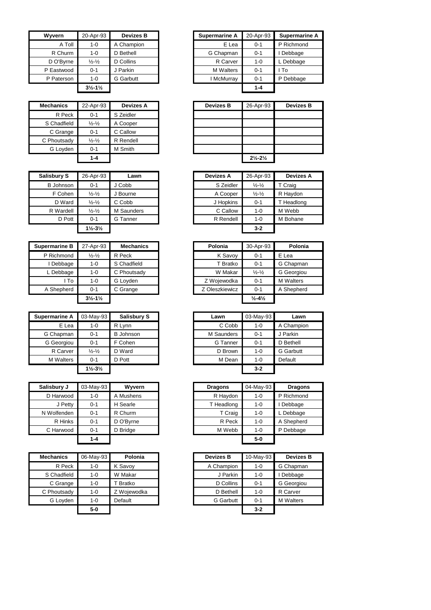| <b>Wyvern</b> | 20-Apr-93                     | <b>Devizes B</b> | <b>Supermarine A</b> | 20-Apr-93 | Su             |
|---------------|-------------------------------|------------------|----------------------|-----------|----------------|
| A Toll        | $1 - 0$                       | A Champion       | E Lea                | $0 - 1$   | <b>PR</b>      |
| R Churm       | $1 - 0$                       | D Bethell        | G Chapman            | $0 - 1$   | De             |
| D O'Byrne     | $\frac{1}{2} - \frac{1}{2}$   | D Collins        | R Carver             | $1 - 0$   | LD             |
| P Eastwood    | $0 - 1$                       | J Parkin         | <b>M</b> Walters     | $0 - 1$   | l To           |
| P Paterson    | $1 - 0$                       | <b>G</b> Garbutt | I McMurray           | $0 - 1$   | P <sub>D</sub> |
|               | $3\frac{1}{2} - 1\frac{1}{2}$ |                  |                      | $1 - 4$   |                |

| <b>Mechanics</b> | 22-Apr-93                   | <b>Devizes A</b> | <b>Devizes B</b> |
|------------------|-----------------------------|------------------|------------------|
| R Peck           | $0 - 1$                     | S Zeidler        |                  |
| S Chadfield      | $\frac{1}{2} - \frac{1}{2}$ | A Cooper         |                  |
| C Grange         | $0 - 1$                     | C Callow         |                  |
| C Phoutsady      | $\frac{1}{2} - \frac{1}{2}$ | R Rendell        |                  |
| G Loyden         | $0 - 1$                     | M Smith          |                  |
|                  | $1 - 4$                     |                  |                  |

| <b>Salisbury S</b> | 26-Apr-93                     | Lawn       | <b>Devizes A</b> | 26-Apr-93                   | <b>Devizes A</b> |
|--------------------|-------------------------------|------------|------------------|-----------------------------|------------------|
| <b>B</b> Johnson   | $0 - 1$                       | J Cobb     | S Zeidler        | $\frac{1}{2} - \frac{1}{2}$ | T Craig          |
| F Cohen            | $\frac{1}{2} - \frac{1}{2}$   | J Bourne   | A Cooper         | $\frac{1}{2} - \frac{1}{2}$ | R Haydon         |
| D Ward             | $\frac{1}{2} - \frac{1}{2}$   | C Cobb     | J Hopkins        | $0 - 1$                     | T Headlong       |
| R Wardell          | $\frac{1}{2} - \frac{1}{2}$   | M Saunders | C Callow         | $1 - 0$                     | M Webb           |
| D Pott             | $0 - 1$                       | G Tanner   | R Rendell        | 1-0                         | M Bohane         |
|                    | $1\frac{1}{2} - 3\frac{1}{2}$ |            |                  | $3 - 2$                     |                  |

| <b>Supermarine B</b> | 27-Apr-93<br><b>Mechanics</b> |             |  | Polonia     | 30-Apr-93                    |
|----------------------|-------------------------------|-------------|--|-------------|------------------------------|
| P Richmond           | $\frac{1}{2} - \frac{1}{2}$   | R Peck      |  | K Savoy     | $0 - 1$                      |
| Debbage              | 1-0                           | S Chadfield |  | T Bratko    | $0 - 1$                      |
| ∟ Debbage            | 1-0                           | C Phoutsady |  | W Makar     | $\frac{1}{2} - \frac{1}{2}$  |
| l To                 | 1-0                           | G Loyden    |  | Z Wojewodka | $0 - 1$                      |
| A Shepherd           | $0 - 1$                       | C Grange    |  |             | $0 - 1$                      |
|                      | $3\frac{1}{2} - 1\frac{1}{2}$ |             |  |             | $\frac{1}{2} - \frac{41}{2}$ |

| <b>Supermarine A</b> | 03-May-93                     | <b>Salisbury S</b> |        | Lawn       | 03-May-93 | Lawn             |
|----------------------|-------------------------------|--------------------|--------|------------|-----------|------------------|
| E Lea                | R Lynn<br>$1 - 0$             |                    | C Cobb | 1-0        | A Champio |                  |
| G Chapman            | $0 - 1$                       | <b>B</b> Johnson   |        | M Saunders | $0 - 1$   | J Parkin         |
| G Georgiou           | $0 - 1$                       | F Cohen            |        |            | $0 - 1$   | D Bethell        |
| R Carver             | $\frac{1}{2} - \frac{1}{2}$   | D Ward             |        | D Brown    | 1-0       | <b>G</b> Garbutt |
| <b>M</b> Walters     | $0 - 1$                       | D Pott             |        | M Dean     | $1 - 0$   | Default          |
|                      | $1\frac{1}{2} - 3\frac{1}{2}$ |                    |        |            | $3 - 2$   |                  |

| Salisbury J | 03-May-93 | <b>Wyvern</b> |        | <b>Dragons</b> | 04-May-93 | <b>Dragons</b> |
|-------------|-----------|---------------|--------|----------------|-----------|----------------|
| D Harwood   | 1-0       | A Mushens     |        |                | 1-0       | P Richmond     |
| J Petty     | 0-1       | H Searle      |        |                | 1-0       | Debbage        |
| N Wolfenden | $0 - 1$   | R Churm       |        | T Craig        | 1-0       | L Debbage      |
| R Hinks     | 0-1       | D O'Bvrne     |        | R Peck         | 1-0       | A Shepherd     |
| C Harwood   | $0 - 1$   | D Bridge      | M Webb |                | $1 - 0$   | P Debbage      |
|             | $1 - 4$   |               |        |                | $5-0$     |                |

| <b>Mechanics</b> | 06-May-93 | Polonia     | <b>Devizes B</b> | 10-May-93 | <b>Devizes B</b> |
|------------------|-----------|-------------|------------------|-----------|------------------|
| R Peck           | 1-0       | K Savoy     | A Champion       | 1-0       | G Chapman        |
| S Chadfield      | 1-0       | W Makar     | J Parkin         | $1 - 0$   | Debbage          |
| C Grange         | $1 - 0$   | T Bratko    | D Collins        | $0 - 1$   | G Georgiou       |
| C Phoutsady      | 1-0       | Z Wojewodka | D Bethell        | $1 - 0$   | R Carver         |
| G Loyden         | 1-0       | Default     | G Garbutt        | $0 - 1$   | <b>M</b> Walters |
|                  | $5-0$     |             |                  | $3 - 2$   |                  |

| Wvvern     | 20-Apr-93                     | <b>Devizes B</b> | <b>Supermarine A</b> | 20-Apr-93 | <b>Supermarine A</b> |
|------------|-------------------------------|------------------|----------------------|-----------|----------------------|
| A Toll     | $1 - 0$                       | A Champion       | E Lea                | $0 - 1$   | P Richmond           |
| R Churm    | 1-0                           | D Bethell        | G Chapman            | $0 - 1$   | Debbage              |
| D O'Byrne  | $\frac{1}{2} - \frac{1}{2}$   | D Collins        | R Carver             | $1 - 0$   | Debbage              |
| P Eastwood | $0 - 1$                       | J Parkin         | <b>M</b> Walters     | $0 - 1$   | I To                 |
| P Paterson | 1-0                           | <b>G</b> Garbutt | I McMurray           | $0 - 1$   | P Debbage            |
|            | $3\frac{1}{2} - 1\frac{1}{2}$ |                  |                      | $1 - 4$   |                      |

| Mechanics   | 22-Apr-93                   | <b>Devizes A</b> |
|-------------|-----------------------------|------------------|
| R Peck      | $0 - 1$                     | S Zeidler        |
| S Chadfield | $\frac{1}{2} - \frac{1}{2}$ | A Cooper         |
| C Grange    | $0 - 1$                     | C Callow         |
| C Phoutsady | $\frac{1}{2} - \frac{1}{2}$ | R Rendell        |
| G Loyden    | $0 - 1$                     | M Smith          |
|             | $1 - 4$                     |                  |
|             |                             |                  |

| bury S  | 26-Apr-93                     | Lawn       | <b>Devizes A</b> | 26-Apr-93                   | <b>Devizes A</b> |
|---------|-------------------------------|------------|------------------|-----------------------------|------------------|
| Johnson | $0 - 1$                       | J Cobb     | S Zeidler        | $\frac{1}{2} - \frac{1}{2}$ | T Craig          |
| F Cohen | $\frac{1}{2} - \frac{1}{2}$   | J Bourne   | A Cooper         | $\frac{1}{2} - \frac{1}{2}$ | R Haydon         |
| D Ward  | $\frac{1}{2} - \frac{1}{2}$   | C Cobb     | J Hopkins        | $0 - 1$                     | T Headlong       |
| Wardell | $\frac{1}{2} - \frac{1}{2}$   | M Saunders | C Callow         | $1 - 0$                     | M Webb           |
| D Pott  | $0 - 1$                       | G Tanner   | R Rendell        | $1 - 0$                     | M Bohane         |
|         | $1\frac{1}{2} - 3\frac{1}{2}$ |            |                  | $3 - 2$                     |                  |

| rmarine B | 27-Apr-93                     | <b>Mechanics</b> |
|-----------|-------------------------------|------------------|
| Richmond  | $\frac{1}{2} - \frac{1}{2}$   | R Peck           |
| I Debbage | $1 - 0$                       | S Chadfield      |
| L Debbage | 1-0                           | C Phoutsady      |
| l To      | $1 - 0$                       | G Loyden         |
| Shepherd  | $0 - 1$                       | C Grange         |
|           | $3\frac{1}{2} - 1\frac{1}{2}$ |                  |

| narine A  | 03-May-93                     | Salisbury S      | Lawn       | 03-May-93 | Lawn             |
|-----------|-------------------------------|------------------|------------|-----------|------------------|
| E Lea     | 1-0                           | R Lynn           | C Cobb     | $1 - 0$   | A Champion       |
| Chapman   | $0 - 1$                       | <b>B</b> Johnson | M Saunders | $0 - 1$   | J Parkin         |
| Georgiou  | $0 - 1$                       | F Cohen          | G Tanner   | $0 - 1$   | D Bethell        |
| R Carver  | $\frac{1}{2} - \frac{1}{2}$   | D Ward           | D Brown    | $1 - 0$   | <b>G</b> Garbutt |
| 1 Walters | $0 - 1$                       | D Pott           | M Dean     | $1 - 0$   | Default          |
|           | $1\frac{1}{2} - 3\frac{1}{2}$ |                  |            | $3 - 2$   |                  |
|           |                               |                  |            |           |                  |

| lisbury J | 03-May-93 | Wvvern    | <b>Dragons</b> | 04-May-93 | Dragons    |
|-----------|-----------|-----------|----------------|-----------|------------|
| D Harwood | 1-0       | A Mushens | R Haydon       | 1-0       | P Richmond |
| J Petty   | $0 - 1$   | H Searle  | T Headlong     | $1 - 0$   | Debbage    |
| Wolfenden | $0 - 1$   | R Churm   | T Craig        | $1 - 0$   | ∟ Debbage  |
| R Hinks   | $0 - 1$   | D O'Byrne | R Peck         | 1-0       | A Shepherd |
| C Harwood | $0 - 1$   | D Bridge  | M Webb         | $1-0$     | P Debbage  |
|           | $1 - 4$   |           |                | $5-0$     |            |

| hanics                | 06-May-93 | Polonia     | <b>Devizes B</b> | 10-May-93 | <b>Devizes B</b> |
|-----------------------|-----------|-------------|------------------|-----------|------------------|
| R Peck                | $1 - 0$   | K Savoy     | A Champion       | $1 - 0$   | G Chapman        |
| Chadfield             | $1 - 0$   | W Makar     | J Parkin         | 1-0       | I Debbage        |
| C Grange              | $1 - 0$   | Bratko      | D Collins        | $0 - 1$   | G Georgiou       |
| houtsady <sup>.</sup> | $1 - 0$   | Z Wojewodka | D Bethell        | $1 - 0$   | R Carver         |
| G Loyden              | $1 - 0$   | Default     | G Garbutt        | $0 - 1$   | <b>M</b> Walters |
|                       | $5-0$     |             |                  | $3 - 2$   |                  |